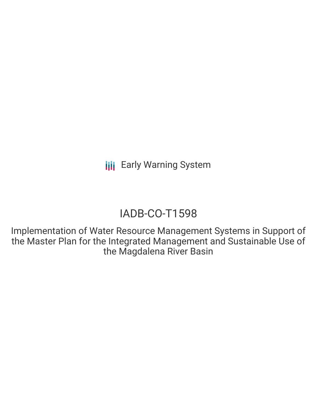## IADB-CO-T1598

Implementation of Water Resource Management Systems in Support of the Master Plan for the Integrated Management and Sustainable Use of the Magdalena River Basin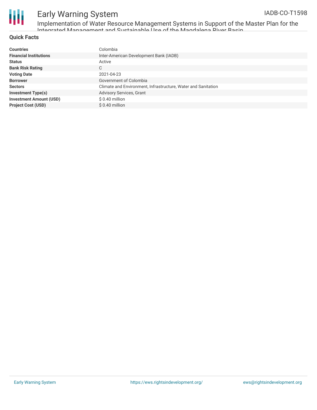

Implementation of Water Resource Management Systems in Support of the Master Plan for the Integrated Management and Sustainable Use of the Magdalena River Basin

#### **Quick Facts**

| <b>Countries</b>               | Colombia                                                      |
|--------------------------------|---------------------------------------------------------------|
| <b>Financial Institutions</b>  | Inter-American Development Bank (IADB)                        |
| <b>Status</b>                  | Active                                                        |
| <b>Bank Risk Rating</b>        | C                                                             |
| <b>Voting Date</b>             | 2021-04-23                                                    |
| <b>Borrower</b>                | Government of Colombia                                        |
| <b>Sectors</b>                 | Climate and Environment, Infrastructure, Water and Sanitation |
| <b>Investment Type(s)</b>      | Advisory Services, Grant                                      |
| <b>Investment Amount (USD)</b> | $$0.40$ million                                               |
| <b>Project Cost (USD)</b>      | $$0.40$ million                                               |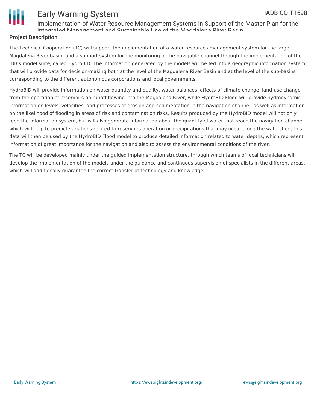



Implementation of Water Resource Management Systems in Support of the Master Plan for the Integrated Management and Sustainable Use of the Magdalena River Basin

#### **Project Description**

The Technical Cooperation (TC) will support the implementation of a water resources management system for the large Magdalena River basin, and a support system for the monitoring of the navigable channel through the implementation of the IDB's model suite, called HydroBID. The information generated by the models will be fed into a geographic information system that will provide data for decision-making both at the level of the Magdalena River Basin and at the level of the sub-basins corresponding to the different autonomous corporations and local governments.

HydroBID will provide information on water quantity and quality, water balances, effects of climate change, land-use change from the operation of reservoirs on runoff flowing into the Magdalena River, while HydroBID Flood will provide hydrodynamic information on levels, velocities, and processes of erosion and sedimentation in the navigation channel, as well as information on the likelihood of flooding in areas of risk and contamination risks. Results produced by the HydroBID model will not only feed the Information system, but will also generate Information about the quantity of water that reach the navigation channel, which will help to predict variations related to reservoirs operation or precipitations that may occur along the watershed, this data will then be used by the HydroBID Flood model to produce detailed information related to water depths, which represent information of great importance for the navigation and also to assess the environmental conditions of the river.

The TC will be developed mainly under the guided implementation structure, through which teams of local technicians will develop the implementation of the models under the guidance and continuous supervision of specialists in the different areas, which will additionally guarantee the correct transfer of technology and knowledge.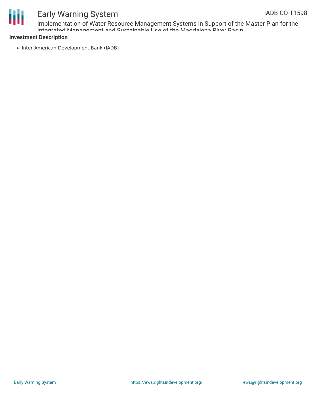

# Ш

## Early Warning System

Implementation of Water Resource Management Systems in Support of the Master Plan for the Integrated Management and Sustainable Use of the Magdalena River Basin

#### **Investment Description**

• Inter-American Development Bank (IADB)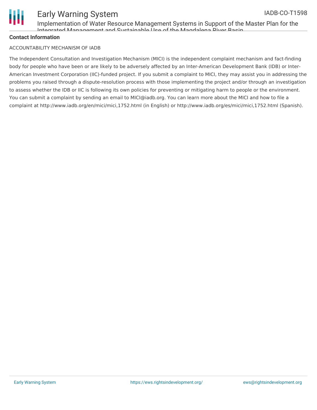

Implementation of Water Resource Management Systems in Support of the Master Plan for the Integrated Management and Sustainable Use of the Magdalena Diver Rasin

#### **Contact Information**

#### ACCOUNTABILITY MECHANISM OF IADB

The Independent Consultation and Investigation Mechanism (MICI) is the independent complaint mechanism and fact-finding body for people who have been or are likely to be adversely affected by an Inter-American Development Bank (IDB) or Inter-American Investment Corporation (IIC)-funded project. If you submit a complaint to MICI, they may assist you in addressing the problems you raised through a dispute-resolution process with those implementing the project and/or through an investigation to assess whether the IDB or IIC is following its own policies for preventing or mitigating harm to people or the environment. You can submit a complaint by sending an email to MICI@iadb.org. You can learn more about the MICI and how to file a complaint at http://www.iadb.org/en/mici/mici,1752.html (in English) or http://www.iadb.org/es/mici/mici,1752.html (Spanish).